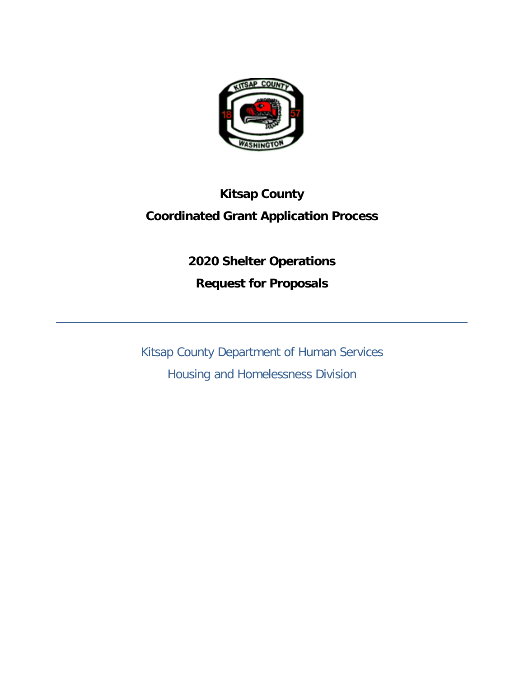

# **Kitsap County Coordinated Grant Application Process**

**2020 Shelter Operations Request for Proposals** 

Kitsap County Department of Human Services Housing and Homelessness Division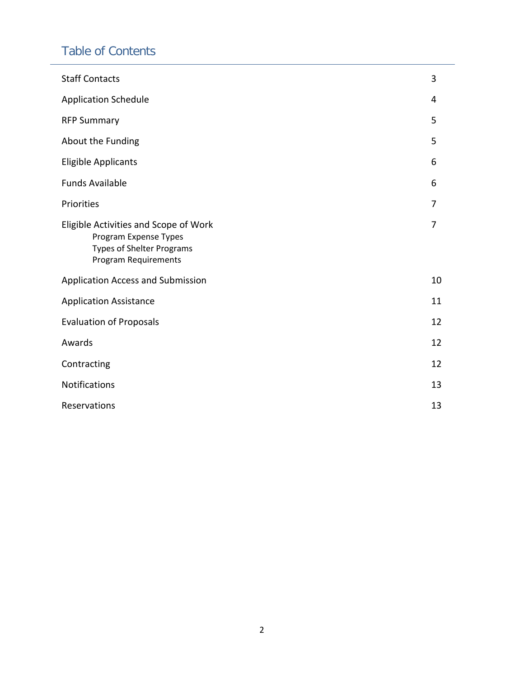# Table of Contents

| <b>Staff Contacts</b>                                                                                                             | 3  |  |  |
|-----------------------------------------------------------------------------------------------------------------------------------|----|--|--|
| <b>Application Schedule</b>                                                                                                       | 4  |  |  |
| <b>RFP Summary</b>                                                                                                                | 5  |  |  |
| About the Funding                                                                                                                 | 5  |  |  |
| Eligible Applicants                                                                                                               | 6  |  |  |
| <b>Funds Available</b>                                                                                                            | 6  |  |  |
| Priorities                                                                                                                        | 7  |  |  |
| Eligible Activities and Scope of Work<br>Program Expense Types<br><b>Types of Shelter Programs</b><br><b>Program Requirements</b> | 7  |  |  |
| Application Access and Submission                                                                                                 | 10 |  |  |
| <b>Application Assistance</b>                                                                                                     | 11 |  |  |
| <b>Evaluation of Proposals</b>                                                                                                    |    |  |  |
| Awards                                                                                                                            | 12 |  |  |
| Contracting                                                                                                                       | 12 |  |  |
| Notifications                                                                                                                     |    |  |  |
| Reservations                                                                                                                      |    |  |  |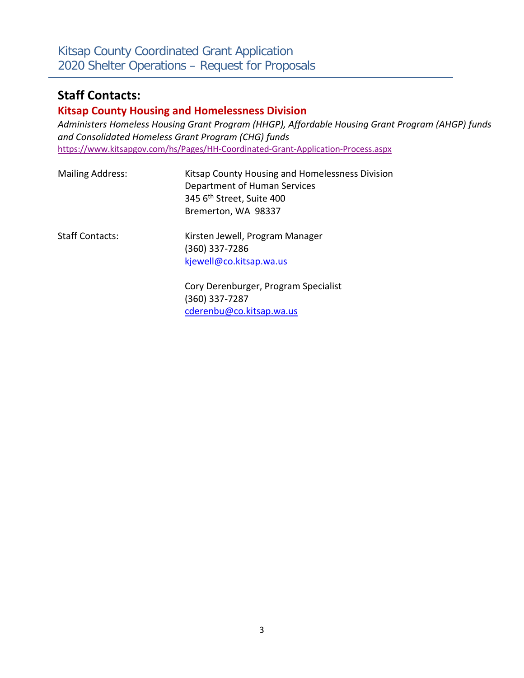# **Staff Contacts:**

### **Kitsap County Housing and Homelessness Division**

*Administers Homeless Housing Grant Program (HHGP), Affordable Housing Grant Program (AHGP) funds and Consolidated Homeless Grant Program (CHG) funds* <https://www.kitsapgov.com/hs/Pages/HH-Coordinated-Grant-Application-Process.aspx>

| <b>Mailing Address:</b> | Kitsap County Housing and Homelessness Division<br>Department of Human Services<br>345 6 <sup>th</sup> Street, Suite 400<br>Bremerton, WA 98337 |
|-------------------------|-------------------------------------------------------------------------------------------------------------------------------------------------|
| <b>Staff Contacts:</b>  | Kirsten Jewell, Program Manager<br>(360) 337-7286<br>kjewell@co.kitsap.wa.us                                                                    |
|                         | As a Barrack and a Branch and Arabistics                                                                                                        |

Cory Derenburger, Program Specialist (360) 337-7287 [cderenbu@co.kitsap.wa.us](mailto:cderenbu@co.kitsap.wa.us)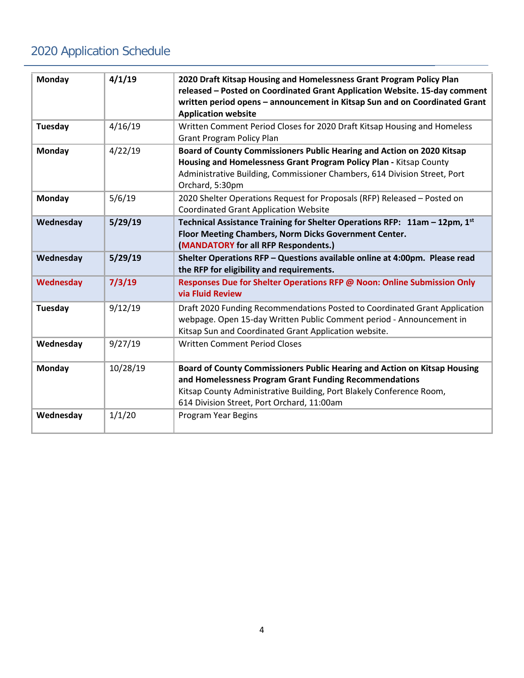# 2020 Application Schedule

| <b>Monday</b> | 4/1/19   | 2020 Draft Kitsap Housing and Homelessness Grant Program Policy Plan<br>released - Posted on Coordinated Grant Application Website. 15-day comment<br>written period opens - announcement in Kitsap Sun and on Coordinated Grant<br><b>Application website</b> |
|---------------|----------|----------------------------------------------------------------------------------------------------------------------------------------------------------------------------------------------------------------------------------------------------------------|
| Tuesday       | 4/16/19  | Written Comment Period Closes for 2020 Draft Kitsap Housing and Homeless<br><b>Grant Program Policy Plan</b>                                                                                                                                                   |
| Monday        | 4/22/19  | Board of County Commissioners Public Hearing and Action on 2020 Kitsap<br>Housing and Homelessness Grant Program Policy Plan - Kitsap County<br>Administrative Building, Commissioner Chambers, 614 Division Street, Port<br>Orchard, 5:30pm                   |
| <b>Monday</b> | 5/6/19   | 2020 Shelter Operations Request for Proposals (RFP) Released - Posted on<br><b>Coordinated Grant Application Website</b>                                                                                                                                       |
| Wednesday     | 5/29/19  | Technical Assistance Training for Shelter Operations RFP: 11am - 12pm, 1st<br>Floor Meeting Chambers, Norm Dicks Government Center.<br>(MANDATORY for all RFP Respondents.)                                                                                    |
| Wednesday     | 5/29/19  | Shelter Operations RFP - Questions available online at 4:00pm. Please read<br>the RFP for eligibility and requirements.                                                                                                                                        |
| Wednesday     | 7/3/19   | Responses Due for Shelter Operations RFP @ Noon: Online Submission Only<br>via Fluid Review                                                                                                                                                                    |
| Tuesday       | 9/12/19  | Draft 2020 Funding Recommendations Posted to Coordinated Grant Application<br>webpage. Open 15-day Written Public Comment period - Announcement in<br>Kitsap Sun and Coordinated Grant Application website.                                                    |
| Wednesday     | 9/27/19  | <b>Written Comment Period Closes</b>                                                                                                                                                                                                                           |
| Monday        | 10/28/19 | Board of County Commissioners Public Hearing and Action on Kitsap Housing<br>and Homelessness Program Grant Funding Recommendations<br>Kitsap County Administrative Building, Port Blakely Conference Room,<br>614 Division Street, Port Orchard, 11:00am      |
| Wednesday     | 1/1/20   | Program Year Begins                                                                                                                                                                                                                                            |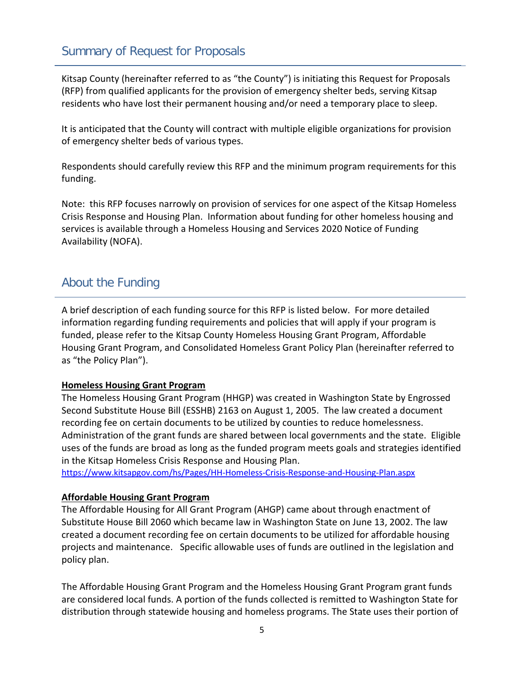Kitsap County (hereinafter referred to as "the County") is initiating this Request for Proposals (RFP) from qualified applicants for the provision of emergency shelter beds, serving Kitsap residents who have lost their permanent housing and/or need a temporary place to sleep.

It is anticipated that the County will contract with multiple eligible organizations for provision of emergency shelter beds of various types.

Respondents should carefully review this RFP and the minimum program requirements for this funding.

Note: this RFP focuses narrowly on provision of services for one aspect of the Kitsap Homeless Crisis Response and Housing Plan. Information about funding for other homeless housing and services is available through a Homeless Housing and Services 2020 Notice of Funding Availability (NOFA).

# About the Funding

A brief description of each funding source for this RFP is listed below. For more detailed information regarding funding requirements and policies that will apply if your program is funded, please refer to the Kitsap County Homeless Housing Grant Program, Affordable Housing Grant Program, and Consolidated Homeless Grant Policy Plan (hereinafter referred to as "the Policy Plan").

#### **Homeless Housing Grant Program**

The Homeless Housing Grant Program (HHGP) was created in Washington State by Engrossed Second Substitute House Bill (ESSHB) 2163 on August 1, 2005. The law created a document recording fee on certain documents to be utilized by counties to reduce homelessness. Administration of the grant funds are shared between local governments and the state. Eligible uses of the funds are broad as long as the funded program meets goals and strategies identified in the Kitsap Homeless Crisis Response and Housing Plan.

<https://www.kitsapgov.com/hs/Pages/HH-Homeless-Crisis-Response-and-Housing-Plan.aspx>

#### **Affordable Housing Grant Program**

The Affordable Housing for All Grant Program (AHGP) came about through enactment of Substitute House Bill 2060 which became law in Washington State on June 13, 2002. The law created a document recording fee on certain documents to be utilized for affordable housing projects and maintenance. Specific allowable uses of funds are outlined in the legislation and policy plan.

The Affordable Housing Grant Program and the Homeless Housing Grant Program grant funds are considered local funds. A portion of the funds collected is remitted to Washington State for distribution through statewide housing and homeless programs. The State uses their portion of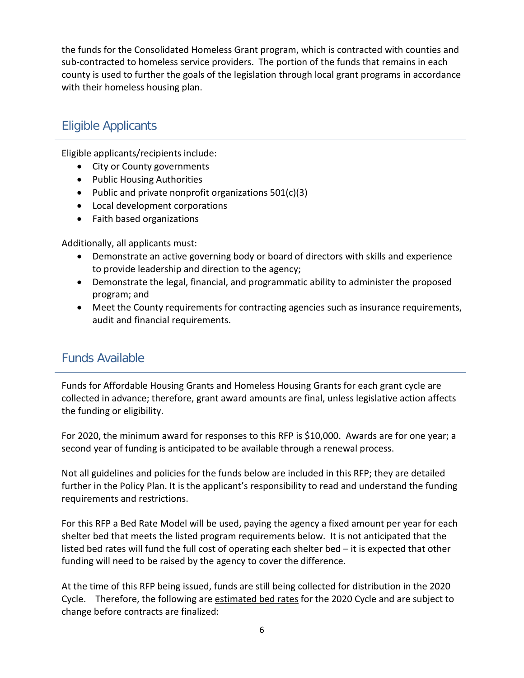the funds for the Consolidated Homeless Grant program, which is contracted with counties and sub-contracted to homeless service providers. The portion of the funds that remains in each county is used to further the goals of the legislation through local grant programs in accordance with their homeless housing plan.

# Eligible Applicants

Eligible applicants/recipients include:

- City or County governments
- Public Housing Authorities
- Public and private nonprofit organizations 501(c)(3)
- Local development corporations
- Faith based organizations

Additionally, all applicants must:

- Demonstrate an active governing body or board of directors with skills and experience to provide leadership and direction to the agency;
- Demonstrate the legal, financial, and programmatic ability to administer the proposed program; and
- Meet the County requirements for contracting agencies such as insurance requirements, audit and financial requirements.

### Funds Available

Funds for Affordable Housing Grants and Homeless Housing Grants for each grant cycle are collected in advance; therefore, grant award amounts are final, unless legislative action affects the funding or eligibility.

For 2020, the minimum award for responses to this RFP is \$10,000. Awards are for one year; a second year of funding is anticipated to be available through a renewal process.

Not all guidelines and policies for the funds below are included in this RFP; they are detailed further in the Policy Plan. It is the applicant's responsibility to read and understand the funding requirements and restrictions.

For this RFP a Bed Rate Model will be used, paying the agency a fixed amount per year for each shelter bed that meets the listed program requirements below. It is not anticipated that the listed bed rates will fund the full cost of operating each shelter bed – it is expected that other funding will need to be raised by the agency to cover the difference.

At the time of this RFP being issued, funds are still being collected for distribution in the 2020 Cycle. Therefore, the following are estimated bed rates for the 2020 Cycle and are subject to change before contracts are finalized: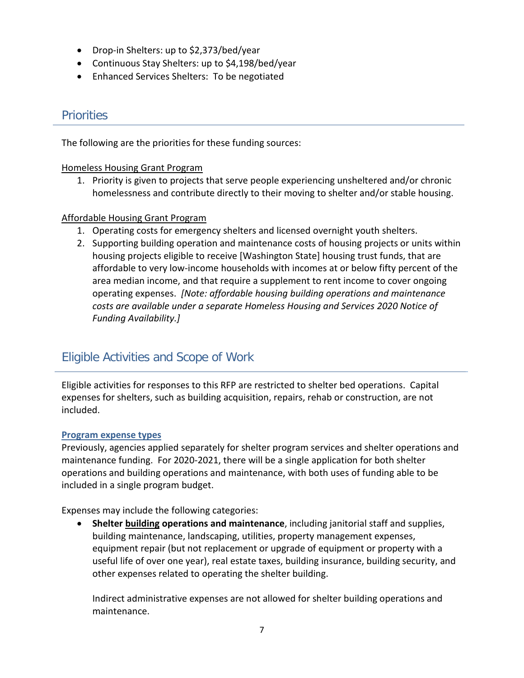- Drop-in Shelters: up to \$2,373/bed/year
- Continuous Stay Shelters: up to \$4,198/bed/year
- Enhanced Services Shelters: To be negotiated

### **Priorities**

The following are the priorities for these funding sources:

#### Homeless Housing Grant Program

1. Priority is given to projects that serve people experiencing unsheltered and/or chronic homelessness and contribute directly to their moving to shelter and/or stable housing.

#### Affordable Housing Grant Program

- 1. Operating costs for emergency shelters and licensed overnight youth shelters.
- 2. Supporting building operation and maintenance costs of housing projects or units within housing projects eligible to receive [Washington State] housing trust funds, that are affordable to very low-income households with incomes at or below fifty percent of the area median income, and that require a supplement to rent income to cover ongoing operating expenses. *[Note: affordable housing building operations and maintenance costs are available under a separate Homeless Housing and Services 2020 Notice of Funding Availability.]*

### Eligible Activities and Scope of Work

Eligible activities for responses to this RFP are restricted to shelter bed operations. Capital expenses for shelters, such as building acquisition, repairs, rehab or construction, are not included.

#### **Program expense types**

Previously, agencies applied separately for shelter program services and shelter operations and maintenance funding. For 2020-2021, there will be a single application for both shelter operations and building operations and maintenance, with both uses of funding able to be included in a single program budget.

Expenses may include the following categories:

• **Shelter building operations and maintenance**, including janitorial staff and supplies, building maintenance, landscaping, utilities, property management expenses, equipment repair (but not replacement or upgrade of equipment or property with a useful life of over one year), real estate taxes, building insurance, building security, and other expenses related to operating the shelter building.

Indirect administrative expenses are not allowed for shelter building operations and maintenance.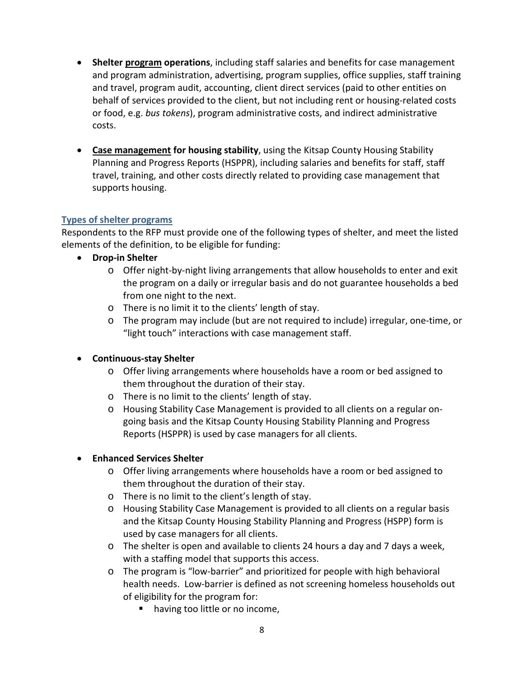- **Shelter program operations**, including staff salaries and benefits for case management and program administration, advertising, program supplies, office supplies, staff training and travel, program audit, accounting, client direct services (paid to other entities on behalf of services provided to the client, but not including rent or housing-related costs or food, e.g. *bus tokens*), program administrative costs, and indirect administrative costs.
- **Case management for housing stability**, using the Kitsap County Housing Stability Planning and Progress Reports (HSPPR), including salaries and benefits for staff, staff travel, training, and other costs directly related to providing case management that supports housing.

#### **Types of shelter programs**

Respondents to the RFP must provide one of the following types of shelter, and meet the listed elements of the definition, to be eligible for funding:

- **Drop-in Shelter**
	- o Offer night-by-night living arrangements that allow households to enter and exit the program on a daily or irregular basis and do not guarantee households a bed from one night to the next.
	- o There is no limit it to the clients' length of stay.
	- o The program may include (but are not required to include) irregular, one-time, or "light touch" interactions with case management staff.

#### • **Continuous-stay Shelter**

- $\circ$  Offer living arrangements where households have a room or bed assigned to them throughout the duration of their stay.
- o There is no limit to the clients' length of stay.
- o Housing Stability Case Management is provided to all clients on a regular ongoing basis and the Kitsap County Housing Stability Planning and Progress Reports (HSPPR) is used by case managers for all clients.

#### • **Enhanced Services Shelter**

- $\circ$  Offer living arrangements where households have a room or bed assigned to them throughout the duration of their stay.
- o There is no limit to the client's length of stay.
- o Housing Stability Case Management is provided to all clients on a regular basis and the Kitsap County Housing Stability Planning and Progress (HSPP) form is used by case managers for all clients.
- o The shelter is open and available to clients 24 hours a day and 7 days a week, with a staffing model that supports this access.
- o The program is "low-barrier" and prioritized for people with high behavioral health needs. Low-barrier is defined as not screening homeless households out of eligibility for the program for:
	- having too little or no income,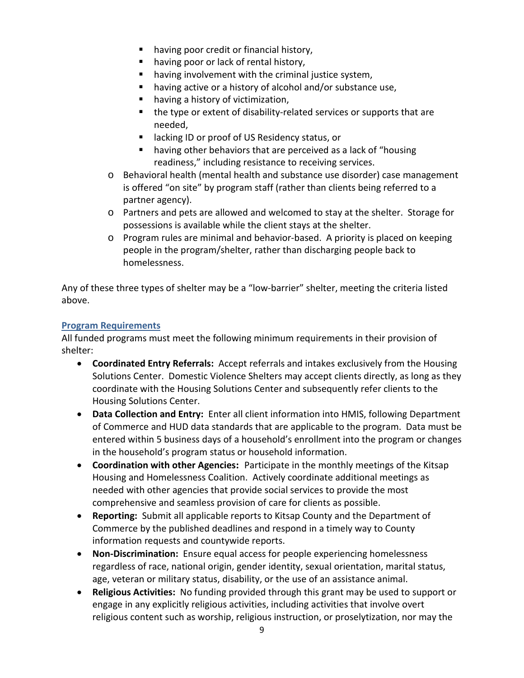- having poor credit or financial history,
- **having poor or lack of rental history,**
- having involvement with the criminal justice system,
- having active or a history of alcohol and/or substance use,
- **•** having a history of victimization,
- the type or extent of disability-related services or supports that are needed,
- lacking ID or proof of US Residency status, or
- having other behaviors that are perceived as a lack of "housing readiness," including resistance to receiving services.
- o Behavioral health (mental health and substance use disorder) case management is offered "on site" by program staff (rather than clients being referred to a partner agency).
- o Partners and pets are allowed and welcomed to stay at the shelter. Storage for possessions is available while the client stays at the shelter.
- o Program rules are minimal and behavior-based. A priority is placed on keeping people in the program/shelter, rather than discharging people back to homelessness.

Any of these three types of shelter may be a "low-barrier" shelter, meeting the criteria listed above.

#### **Program Requirements**

All funded programs must meet the following minimum requirements in their provision of shelter:

- **Coordinated Entry Referrals:** Accept referrals and intakes exclusively from the Housing Solutions Center. Domestic Violence Shelters may accept clients directly, as long as they coordinate with the Housing Solutions Center and subsequently refer clients to the Housing Solutions Center.
- **Data Collection and Entry:** Enter all client information into HMIS, following Department of Commerce and HUD data standards that are applicable to the program. Data must be entered within 5 business days of a household's enrollment into the program or changes in the household's program status or household information.
- **Coordination with other Agencies:** Participate in the monthly meetings of the Kitsap Housing and Homelessness Coalition. Actively coordinate additional meetings as needed with other agencies that provide social services to provide the most comprehensive and seamless provision of care for clients as possible.
- **Reporting:** Submit all applicable reports to Kitsap County and the Department of Commerce by the published deadlines and respond in a timely way to County information requests and countywide reports.
- **Non-Discrimination:** Ensure equal access for people experiencing homelessness regardless of race, national origin, gender identity, sexual orientation, marital status, age, veteran or military status, disability, or the use of an assistance animal.
- **Religious Activities:** No funding provided through this grant may be used to support or engage in any explicitly religious activities, including activities that involve overt religious content such as worship, religious instruction, or proselytization, nor may the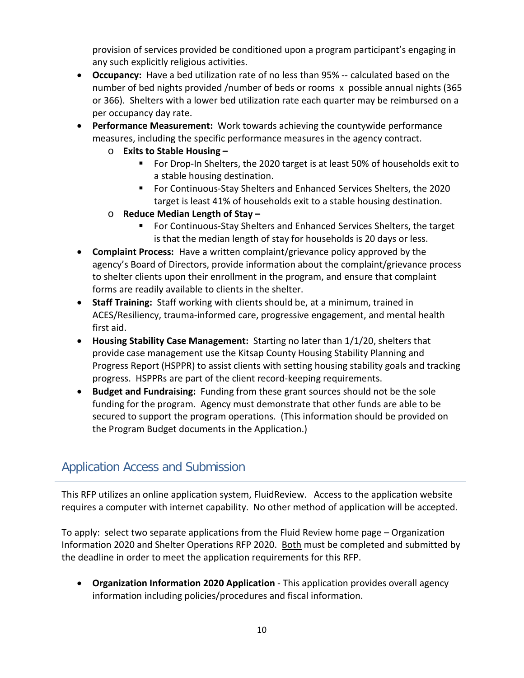provision of services provided be conditioned upon a program participant's engaging in any such explicitly religious activities.

- **Occupancy:** Have a bed utilization rate of no less than 95% -- calculated based on the number of bed nights provided /number of beds or rooms x possible annual nights (365 or 366). Shelters with a lower bed utilization rate each quarter may be reimbursed on a per occupancy day rate.
- **Performance Measurement:** Work towards achieving the countywide performance measures, including the specific performance measures in the agency contract.
	- o **Exits to Stable Housing –**
		- **F** For Drop-In Shelters, the 2020 target is at least 50% of households exit to a stable housing destination.
		- For Continuous-Stay Shelters and Enhanced Services Shelters, the 2020 target is least 41% of households exit to a stable housing destination.
	- o **Reduce Median Length of Stay –**
		- For Continuous-Stay Shelters and Enhanced Services Shelters, the target is that the median length of stay for households is 20 days or less.
- **Complaint Process:** Have a written complaint/grievance policy approved by the agency's Board of Directors, provide information about the complaint/grievance process to shelter clients upon their enrollment in the program, and ensure that complaint forms are readily available to clients in the shelter.
- **Staff Training:** Staff working with clients should be, at a minimum, trained in ACES/Resiliency, trauma-informed care, progressive engagement, and mental health first aid.
- **Housing Stability Case Management:** Starting no later than 1/1/20, shelters that provide case management use the Kitsap County Housing Stability Planning and Progress Report (HSPPR) to assist clients with setting housing stability goals and tracking progress. HSPPRs are part of the client record-keeping requirements.
- **Budget and Fundraising:** Funding from these grant sources should not be the sole funding for the program. Agency must demonstrate that other funds are able to be secured to support the program operations. (This information should be provided on the Program Budget documents in the Application.)

# Application Access and Submission

This RFP utilizes an online application system, FluidReview. Access to the application website requires a computer with internet capability. No other method of application will be accepted.

To apply: select two separate applications from the Fluid Review home page – Organization Information 2020 and Shelter Operations RFP 2020. Both must be completed and submitted by the deadline in order to meet the application requirements for this RFP.

• **Organization Information 2020 Application** - This application provides overall agency information including policies/procedures and fiscal information.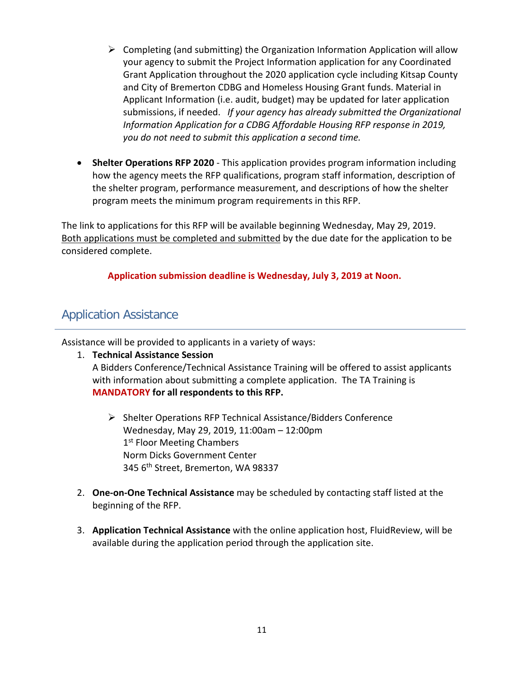- $\triangleright$  Completing (and submitting) the Organization Information Application will allow your agency to submit the Project Information application for any Coordinated Grant Application throughout the 2020 application cycle including Kitsap County and City of Bremerton CDBG and Homeless Housing Grant funds. Material in Applicant Information (i.e. audit, budget) may be updated for later application submissions, if needed. *If your agency has already submitted the Organizational Information Application for a CDBG Affordable Housing RFP response in 2019, you do not need to submit this application a second time.*
- **Shelter Operations RFP 2020**  This application provides program information including how the agency meets the RFP qualifications, program staff information, description of the shelter program, performance measurement, and descriptions of how the shelter program meets the minimum program requirements in this RFP.

The link to applications for this RFP will be available beginning Wednesday, May 29, 2019. Both applications must be completed and submitted by the due date for the application to be considered complete.

**Application submission deadline is Wednesday, July 3, 2019 at Noon.**

## Application Assistance

Assistance will be provided to applicants in a variety of ways:

#### 1. **Technical Assistance Session**

A Bidders Conference/Technical Assistance Training will be offered to assist applicants with information about submitting a complete application. The TA Training is **MANDATORY for all respondents to this RFP.** 

- $\triangleright$  Shelter Operations RFP Technical Assistance/Bidders Conference Wednesday, May 29, 2019, 11:00am – 12:00pm 1<sup>st</sup> Floor Meeting Chambers Norm Dicks Government Center 345 6<sup>th</sup> Street, Bremerton, WA 98337
- 2. **One-on-One Technical Assistance** may be scheduled by contacting staff listed at the beginning of the RFP.
- 3. **Application Technical Assistance** with the online application host, FluidReview, will be available during the application period through the application site.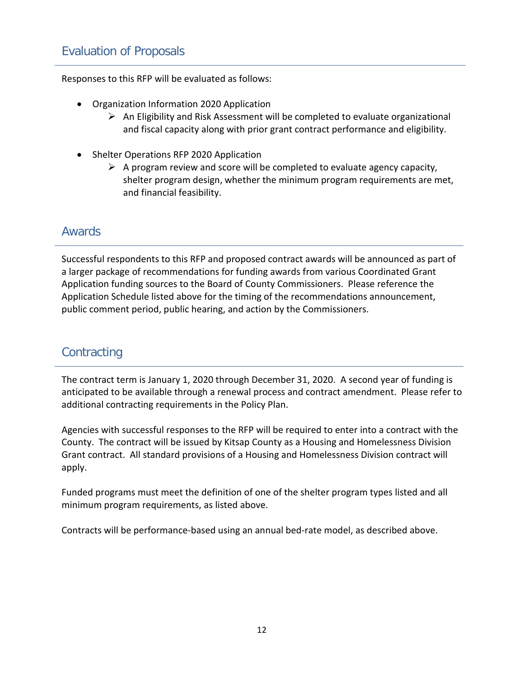Responses to this RFP will be evaluated as follows:

- Organization Information 2020 Application
	- $\triangleright$  An Eligibility and Risk Assessment will be completed to evaluate organizational and fiscal capacity along with prior grant contract performance and eligibility.
- Shelter Operations RFP 2020 Application
	- $\triangleright$  A program review and score will be completed to evaluate agency capacity, shelter program design, whether the minimum program requirements are met, and financial feasibility.

### Awards

Successful respondents to this RFP and proposed contract awards will be announced as part of a larger package of recommendations for funding awards from various Coordinated Grant Application funding sources to the Board of County Commissioners. Please reference the Application Schedule listed above for the timing of the recommendations announcement, public comment period, public hearing, and action by the Commissioners.

## **Contracting**

The contract term is January 1, 2020 through December 31, 2020. A second year of funding is anticipated to be available through a renewal process and contract amendment. Please refer to additional contracting requirements in the Policy Plan.

Agencies with successful responses to the RFP will be required to enter into a contract with the County. The contract will be issued by Kitsap County as a Housing and Homelessness Division Grant contract. All standard provisions of a Housing and Homelessness Division contract will apply.

Funded programs must meet the definition of one of the shelter program types listed and all minimum program requirements, as listed above.

Contracts will be performance-based using an annual bed-rate model, as described above.